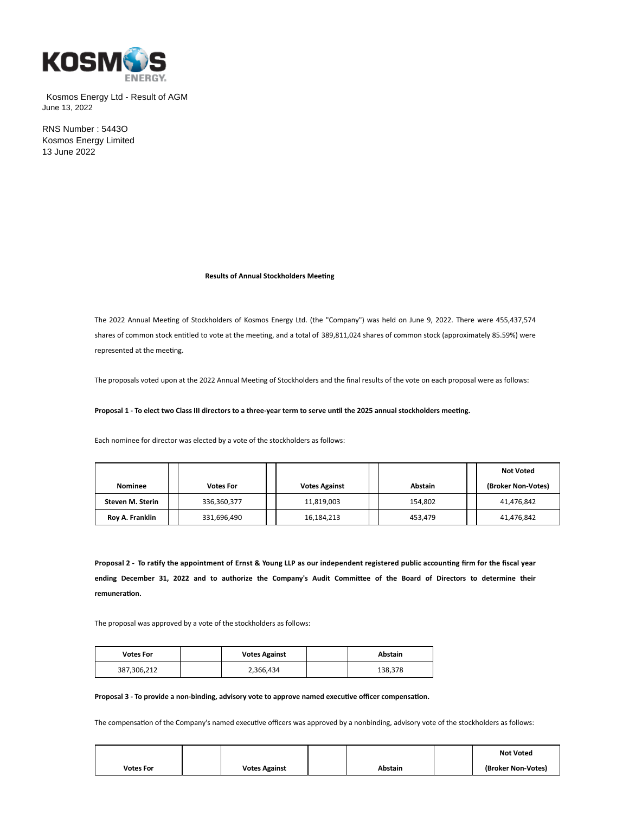

Kosmos Energy Ltd - Result of AGM June 13, 2022

RNS Number : 5443O Kosmos Energy Limited 13 June 2022

**Results of Annual Stockholders Meeting** 

The 2022 Annual Meeting of Stockholders of Kosmos Energy Ltd. (the "Company") was held on June 9, 2022. There were 455,437,574 shares of common stock entitled to vote at the meeting, and a total of 389,811,024 shares of common stock (approximately 85.59%) were represented at the meeting.

The proposals voted upon at the 2022 Annual Meeting of Stockholders and the final results of the vote on each proposal were as follows:

Proposal 1 - To elect two Class III directors to a three-year term to serve until the 2025 annual stockholders meeting.

Each nominee for director was elected by a vote of the stockholders as follows:

|                  |                  |  |                      |  |                |  | Not Voted          |
|------------------|------------------|--|----------------------|--|----------------|--|--------------------|
| Nominee          | <b>Votes For</b> |  | <b>Votes Against</b> |  | <b>Abstain</b> |  | (Broker Non-Votes) |
| Steven M. Sterin | 336,360,377      |  | 11,819,003           |  | 154.802        |  | 41,476,842         |
| Roy A. Franklin  | 331,696,490      |  | 16,184,213           |  | 453.479        |  | 41,476,842         |

**Proposal 2 - To raƟfy the appointment of Ernst & Young LLP as our independent registered public accounƟng firm for the fiscal year** ending December 31, 2022 and to authorize the Company's Audit Committee of the Board of Directors to determine their **remuneraƟon.**

The proposal was approved by a vote of the stockholders as follows:

| <b>Votes For</b> | <b>Votes Against</b> | Abstain |
|------------------|----------------------|---------|
| 387,306,212      | 2,366,434            | 138,378 |

## Proposal 3 - To provide a non-binding, advisory vote to approve named executive officer compensation.

The compensation of the Company's named executive officers was approved by a nonbinding, advisory vote of the stockholders as follows:

|                  |                      |         | <b>Not Voted</b>   |
|------------------|----------------------|---------|--------------------|
| <b>Votes For</b> | <b>Votes Against</b> | Abstain | (Broker Non-Votes) |